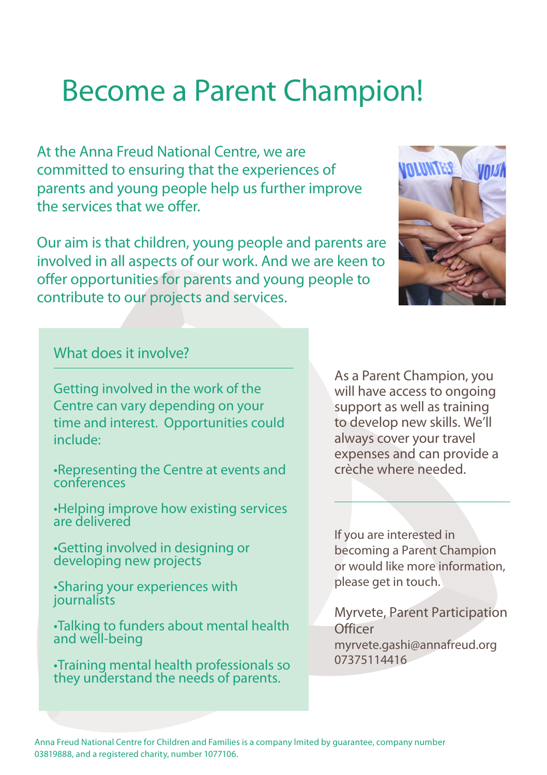# Become a Parent Champion!

At the Anna Freud National Centre, we are committed to ensuring that the experiences of parents and young people help us further improve the services that we offer.

Our aim is that children, young people and parents are involved in all aspects of our work. And we are keen to offer opportunities for parents and young people to contribute to our projects and services.



### What does it involve?

Getting involved in the work of the Centre can vary depending on your time and interest. Opportunities could include:

- •Representing the Centre at events and conferences
- •Helping improve how existing services are delivered
- •Getting involved in designing or developing new projects
- •Sharing your experiences with journalists
- •Talking to funders about mental health and well-being
- •Training mental health professionals so they understand the needs of parents.

As a Parent Champion, you will have access to ongoing support as well as training to develop new skills. We'll always cover your travel expenses and can provide a crèche where needed.

If you are interested in becoming a Parent Champion or would like more information, please get in touch.

Myrvete, Parent Participation **Officer** myrvete.gashi@annafreud.org 07375114416